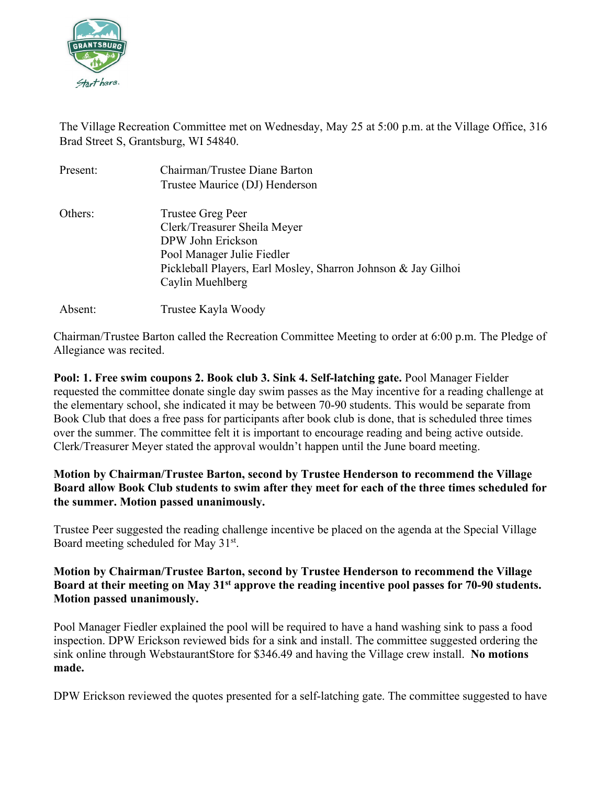

The Village Recreation Committee met on Wednesday, May 25 at 5:00 p.m. at the Village Office, 316 Brad Street S, Grantsburg, WI 54840.

| Present: | Chairman/Trustee Diane Barton                                 |
|----------|---------------------------------------------------------------|
|          | Trustee Maurice (DJ) Henderson                                |
| Others:  | Trustee Greg Peer                                             |
|          | Clerk/Treasurer Sheila Meyer                                  |
|          | DPW John Erickson                                             |
|          | Pool Manager Julie Fiedler                                    |
|          | Pickleball Players, Earl Mosley, Sharron Johnson & Jay Gilhoi |
|          | Caylin Muehlberg                                              |
| Absent:  | Trustee Kayla Woody                                           |

Chairman/Trustee Barton called the Recreation Committee Meeting to order at 6:00 p.m. The Pledge of Allegiance was recited.

**Pool: 1. Free swim coupons 2. Book club 3. Sink 4. Self-latching gate.** Pool Manager Fielder requested the committee donate single day swim passes as the May incentive for a reading challenge at the elementary school, she indicated it may be between 70-90 students. This would be separate from Book Club that does a free pass for participants after book club is done, that is scheduled three times over the summer. The committee felt it is important to encourage reading and being active outside. Clerk/Treasurer Meyer stated the approval wouldn't happen until the June board meeting.

# **Motion by Chairman/Trustee Barton, second by Trustee Henderson to recommend the Village Board allow Book Club students to swim after they meet for each of the three times scheduled for the summer. Motion passed unanimously.**

Trustee Peer suggested the reading challenge incentive be placed on the agenda at the Special Village Board meeting scheduled for May 31st.

# **Motion by Chairman/Trustee Barton, second by Trustee Henderson to recommend the Village Board at their meeting on May 31st approve the reading incentive pool passes for 70-90 students. Motion passed unanimously.**

Pool Manager Fiedler explained the pool will be required to have a hand washing sink to pass a food inspection. DPW Erickson reviewed bids for a sink and install. The committee suggested ordering the sink online through WebstaurantStore for \$346.49 and having the Village crew install. **No motions made.**

DPW Erickson reviewed the quotes presented for a self-latching gate. The committee suggested to have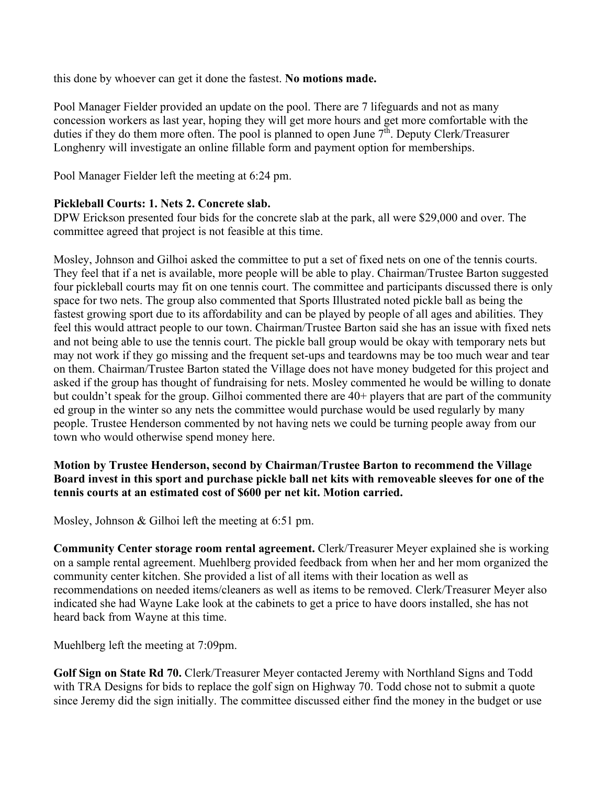this done by whoever can get it done the fastest. **No motions made.**

Pool Manager Fielder provided an update on the pool. There are 7 lifeguards and not as many concession workers as last year, hoping they will get more hours and get more comfortable with the duties if they do them more often. The pool is planned to open June  $7<sup>th</sup>$ . Deputy Clerk/Treasurer Longhenry will investigate an online fillable form and payment option for memberships.

Pool Manager Fielder left the meeting at 6:24 pm.

# **Pickleball Courts: 1. Nets 2. Concrete slab.**

DPW Erickson presented four bids for the concrete slab at the park, all were \$29,000 and over. The committee agreed that project is not feasible at this time.

Mosley, Johnson and Gilhoi asked the committee to put a set of fixed nets on one of the tennis courts. They feel that if a net is available, more people will be able to play. Chairman/Trustee Barton suggested four pickleball courts may fit on one tennis court. The committee and participants discussed there is only space for two nets. The group also commented that Sports Illustrated noted pickle ball as being the fastest growing sport due to its affordability and can be played by people of all ages and abilities. They feel this would attract people to our town. Chairman/Trustee Barton said she has an issue with fixed nets and not being able to use the tennis court. The pickle ball group would be okay with temporary nets but may not work if they go missing and the frequent set-ups and teardowns may be too much wear and tear on them. Chairman/Trustee Barton stated the Village does not have money budgeted for this project and asked if the group has thought of fundraising for nets. Mosley commented he would be willing to donate but couldn't speak for the group. Gilhoi commented there are 40+ players that are part of the community ed group in the winter so any nets the committee would purchase would be used regularly by many people. Trustee Henderson commented by not having nets we could be turning people away from our town who would otherwise spend money here.

# **Motion by Trustee Henderson, second by Chairman/Trustee Barton to recommend the Village Board invest in this sport and purchase pickle ball net kits with removeable sleeves for one of the tennis courts at an estimated cost of \$600 per net kit. Motion carried.**

Mosley, Johnson & Gilhoi left the meeting at 6:51 pm.

**Community Center storage room rental agreement.** Clerk/Treasurer Meyer explained she is working on a sample rental agreement. Muehlberg provided feedback from when her and her mom organized the community center kitchen. She provided a list of all items with their location as well as recommendations on needed items/cleaners as well as items to be removed. Clerk/Treasurer Meyer also indicated she had Wayne Lake look at the cabinets to get a price to have doors installed, she has not heard back from Wayne at this time.

Muehlberg left the meeting at 7:09pm.

**Golf Sign on State Rd 70.** Clerk/Treasurer Meyer contacted Jeremy with Northland Signs and Todd with TRA Designs for bids to replace the golf sign on Highway 70. Todd chose not to submit a quote since Jeremy did the sign initially. The committee discussed either find the money in the budget or use